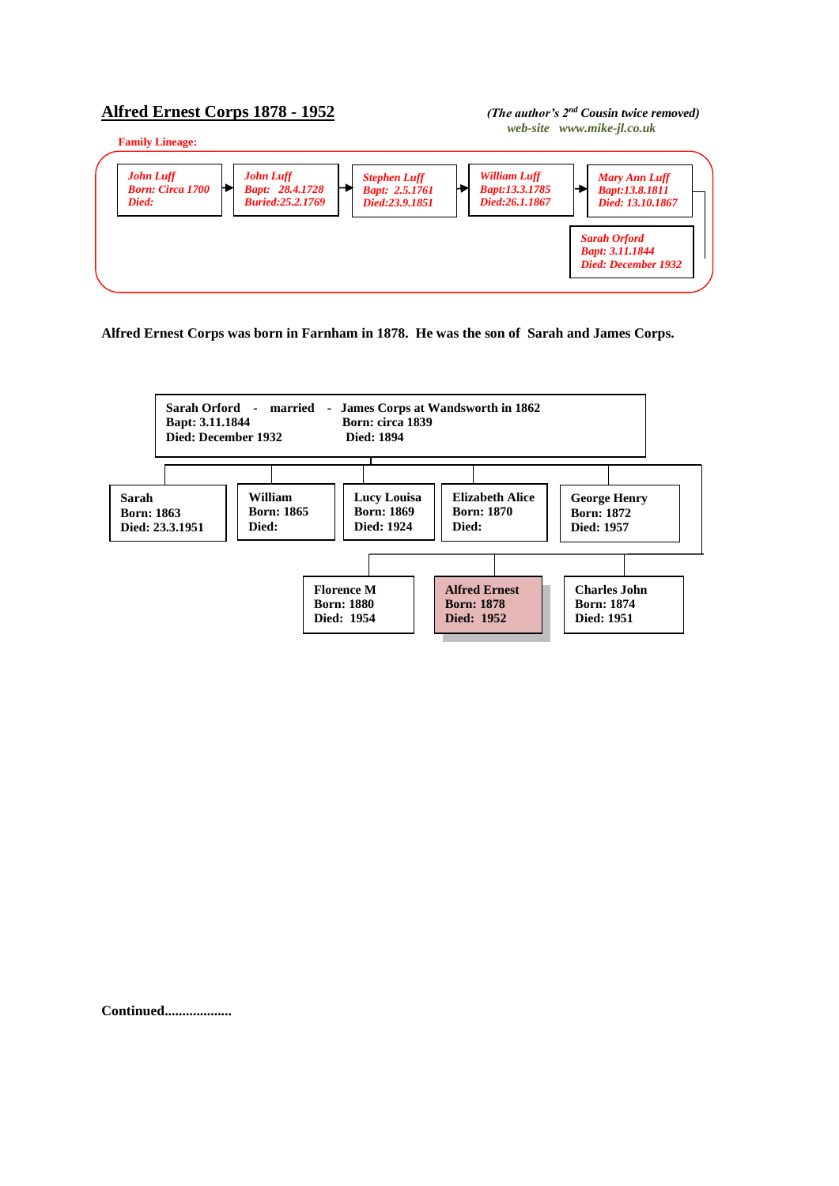## **Alfred Ernest Corps 1878 - 1952** *(The author's 2nd Cousin twice removed)*

## *web-site www.mike-jl.co.uk*



**Alfred Ernest Corps was born in Farnham in 1878. He was the son of Sarah and James Corps.**



**Continued...................**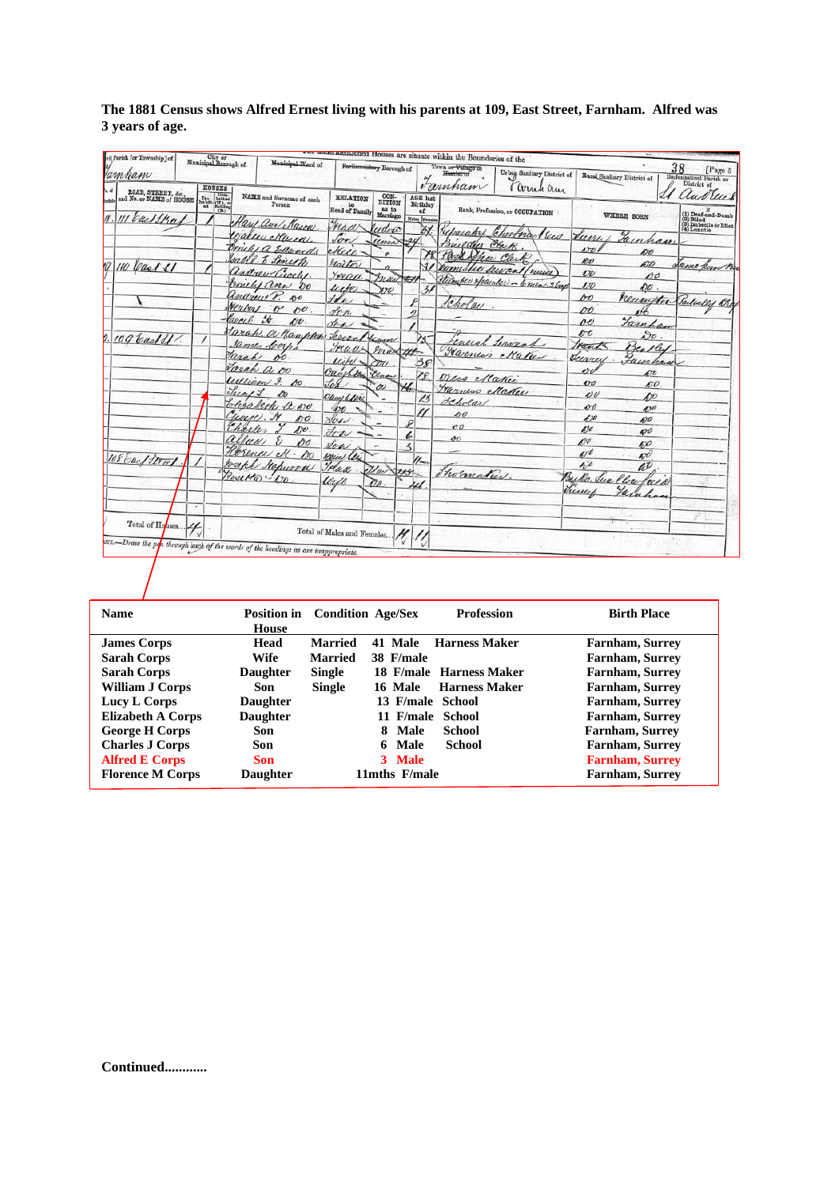| Jamham                                         | City or<br>Municipal Borough of<br><b>HOUSES</b>                                                                                                                                                                                                                                                                                                                                                                                                         | Municipal.Ward of                                                                 |                                         | Porliamentary Borough of            |                                   | recrimentioned Houses are situate within the Boundaries of the<br>Town or Village or<br>Homigt uf<br>Fannham | Urban Sanitary District of<br>Cornel am |                                           | Rural Sanitary District of | 38<br>[Page 5<br>Ecclesiastical Parish or<br>District of                                                                                  |
|------------------------------------------------|----------------------------------------------------------------------------------------------------------------------------------------------------------------------------------------------------------------------------------------------------------------------------------------------------------------------------------------------------------------------------------------------------------------------------------------------------------|-----------------------------------------------------------------------------------|-----------------------------------------|-------------------------------------|-----------------------------------|--------------------------------------------------------------------------------------------------------------|-----------------------------------------|-------------------------------------------|----------------------------|-------------------------------------------------------------------------------------------------------------------------------------------|
| ROAD, STREET, &c.,<br>and No. or NAME of HOUSE | $\begin{tabular}{ c c } \hline \multicolumn{1}{ c }{\textbf{Ina}} & \multicolumn{1}{ c }{\textbf{Unb}}\\ \hline \multicolumn{1}{ c }{\textbf{Ina} & \textbf{Inb} \\ \textbf{Ina} & \textbf{Inb} \\ \hline \multicolumn{1}{ c }{\textbf{Outa}} & \multicolumn{1}{ c }{\textbf{Inb} \\ \hline \multicolumn{1}{ c }{\textbf{Outa}}\\ \hline \multicolumn{1}{ c }{\textbf{Outa}} & \multicolumn{1}{ c }{\textbf{Inb} \\ \hline \multicolumn{1}{ c }{\textbf$ | NAME and Surname of each<br>Person                                                | <b>RELATION</b><br>to<br>Head of Family | CON-<br>DITION<br>as to<br>Marriago | <b>AGE</b> last<br>Birthday<br>of |                                                                                                              | Rank, Profession, or OCCUPATION         |                                           | WHERE BORN                 | las luis                                                                                                                                  |
| car 1/2n                                       |                                                                                                                                                                                                                                                                                                                                                                                                                                                          | Care and Mason<br>ealler Mura                                                     | Fraar<br>Son                            | ludvic                              | Males Female<br>X)                | rasalat                                                                                                      | Chartnay<br>Sus                         | <u>eun</u>                                |                            | $\begin{array}{l} \textbf{(1) Denf-and-Dumb} \\ \textbf{(2) Blind} \\ \textbf{(3) Imbcile or Idiot} \\ \textbf{(4) Lunnatio} \end{array}$ |
|                                                |                                                                                                                                                                                                                                                                                                                                                                                                                                                          | michi a Edwards<br>salel & Lineth                                                 | ekeee-                                  | umi                                 |                                   | Builder<br>Pask She Clerk                                                                                    | Clark                                   | v                                         | Jainhan<br>øo              |                                                                                                                                           |
| 10 Cast SI                                     |                                                                                                                                                                                                                                                                                                                                                                                                                                                          | andrew Croche                                                                     | <i>Itsitor</i><br>yead                  | maro                                | $\mathcal{F}'$                    | Domistic Seyent                                                                                              | rence                                   | ĸv<br>$\overline{\mathcal{O}}\mathcal{O}$ | 6TO<br>po                  | Same from Br                                                                                                                              |
|                                                |                                                                                                                                                                                                                                                                                                                                                                                                                                                          | Conches ann 00<br>Undrew P. 80                                                    | urte<br>H                               | $x\gamma$                           | $\frac{3}{2}$                     | Cholay.                                                                                                      | Hilmber Mainler - 6 men. 2 bags         | 170<br>60                                 | DU.<br>neuritten           | Sarleally Di                                                                                                                              |
|                                                |                                                                                                                                                                                                                                                                                                                                                                                                                                                          | rental o oc<br>Caecel St.<br>$\mathcal{O}v$ .                                     | den<br>den                              |                                     | $\overline{\phantom{a}}$          |                                                                                                              |                                         | DÓ<br>pe                                  | Turnham                    |                                                                                                                                           |
| $109$ bad $11$ .                               |                                                                                                                                                                                                                                                                                                                                                                                                                                                          | Jarah a Banpler<br>James Coch                                                     | Lenan<br>Fraas                          | Kum<br>mas 41                       |                                   |                                                                                                              | enced termint                           | $\mathcal{L}^{\mathcal{L}}$<br>rank       | 50.<br>Bentley             |                                                                                                                                           |
|                                                |                                                                                                                                                                                                                                                                                                                                                                                                                                                          | Tarah<br>00.<br>Jarah a oo                                                        | lcir<br>Oauchton                        | 7/1                                 | 38                                |                                                                                                              | Farmer Maker                            | Jeerrey<br>erv                            | amhau<br>£О                |                                                                                                                                           |
|                                                |                                                                                                                                                                                                                                                                                                                                                                                                                                                          | William 9. AU<br>Lucy 1                                                           |                                         | Class-<br>ov                        | 7 F                               | tres Matici<br>Transes Maker                                                                                 |                                         | $\overline{v}$<br>$\mathbf{v}$            | <b>DO</b>                  |                                                                                                                                           |
|                                                |                                                                                                                                                                                                                                                                                                                                                                                                                                                          | blizabeth a wo.<br>Course. 14<br>p0                                               | Oucef hler<br>ЮO                        |                                     | 13                                | Jehola<br>so                                                                                                 |                                         | 00<br>670                                 | bo<br>4,90                 |                                                                                                                                           |
|                                                |                                                                                                                                                                                                                                                                                                                                                                                                                                                          | harles<br>$A$ <sub>1</sub><br>allun                                               | $\forall c$<br>Jow                      |                                     | ı                                 | 00<br>$^{oo}$                                                                                                |                                         | 650                                       | 600<br>490                 |                                                                                                                                           |
| 108 bac/Street                                 |                                                                                                                                                                                                                                                                                                                                                                                                                                                          | po<br>Horence ell . Do                                                            | Low<br>Wear les                         |                                     | $\prec$<br>$\mathcal{U}_{\infty}$ |                                                                                                              |                                         | $\mathcal{L}^{y\bar{y}}$<br>470           | 5,0<br>$\mathscr{A}$       |                                                                                                                                           |
|                                                |                                                                                                                                                                                                                                                                                                                                                                                                                                                          | Joseph Stepwood<br>Rosetto  00                                                    | Tread<br>tirio                          | 100 345<br>Ðø                       |                                   | Thormatica                                                                                                   |                                         | $40^{\circ}$<br>Becks.                    | w<br>llai<br>uea           |                                                                                                                                           |
|                                                | $\boldsymbol{\star}$                                                                                                                                                                                                                                                                                                                                                                                                                                     |                                                                                   |                                         |                                     |                                   |                                                                                                              |                                         | June                                      |                            |                                                                                                                                           |
| Total of Houses                                |                                                                                                                                                                                                                                                                                                                                                                                                                                                          |                                                                                   |                                         |                                     |                                   |                                                                                                              |                                         |                                           |                            |                                                                                                                                           |
|                                                |                                                                                                                                                                                                                                                                                                                                                                                                                                                          | orn.-Draw the por through such of the words of the headings as are inappropriate, | Total of Males and Females              |                                     |                                   |                                                                                                              |                                         |                                           |                            |                                                                                                                                           |

**The 1881 Census shows Alfred Ernest living with his parents at 109, East Street, Farnham. Alfred was 3 years of age.**

| <b>Name</b>              | <b>Position in</b><br>House | <b>Condition Age/Sex</b> |                  | <b>Profession</b>       | <b>Birth Place</b>     |
|--------------------------|-----------------------------|--------------------------|------------------|-------------------------|------------------------|
| <b>James Corps</b>       | Head                        | <b>Married</b>           | 41 Male          | <b>Harness Maker</b>    | <b>Farnham, Surrey</b> |
| <b>Sarah Corps</b>       | Wife                        | <b>Married</b>           | 38 F/male        |                         | Farnham, Surrey        |
| <b>Sarah Corps</b>       | <b>Daughter</b>             | <b>Single</b>            |                  | 18 F/male Harness Maker | Farnham, Surrey        |
| <b>William J Corps</b>   | Son                         | <b>Single</b>            | 16 Male          | <b>Harness Maker</b>    | Farnham, Surrey        |
| Lucy L Corps             | <b>Daughter</b>             |                          | 13 F/male School |                         | Farnham, Surrey        |
| <b>Elizabeth A Corps</b> | <b>Daughter</b>             |                          | 11 F/male School |                         | Farnham, Surrey        |
| <b>George H Corps</b>    | Son                         |                          | Male<br>8.       | School                  | <b>Farnham, Surrey</b> |
| <b>Charles J Corps</b>   | Son                         |                          | 6 Male           | <b>School</b>           | <b>Farnham, Surrey</b> |
| <b>Alfred E Corps</b>    | <b>Son</b>                  |                          | 3 Male           |                         | <b>Farnham, Surrey</b> |
| <b>Florence M Corps</b>  | <b>Daughter</b>             |                          | 11mths F/male    |                         | <b>Farnham, Surrey</b> |

**Continued............**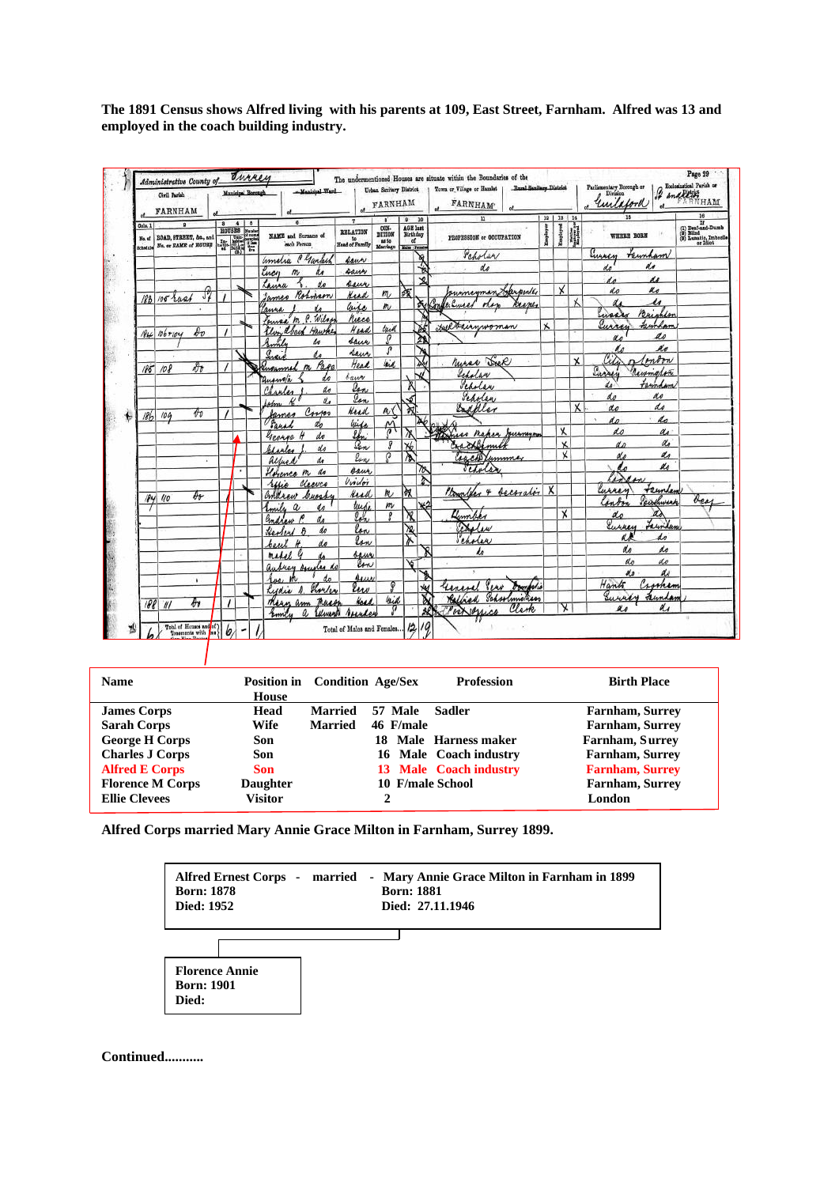**The 1891 Census shows Alfred living with his parents at 109, East Street, Farnham. Alfred was 13 and employed in the coach building industry.**

|                   | Civil Parish<br>FARNHAM |              |               |     | Municipal Borough | -Manisipal Ward                                 |                                         |            | Urban Sanitary Blatzick  <br>of FARNHAM             |                                     |         | Roral Sanilary District<br>Town or Village or Hamlet<br><b>FARNHAM</b> |                          |              |             | Parliamentary Borough or<br>unilatorl |                     | Boclosiation Perish or<br>NHAM                                                |
|-------------------|-------------------------|--------------|---------------|-----|-------------------|-------------------------------------------------|-----------------------------------------|------------|-----------------------------------------------------|-------------------------------------|---------|------------------------------------------------------------------------|--------------------------|--------------|-------------|---------------------------------------|---------------------|-------------------------------------------------------------------------------|
| Cols. 1<br>Ho. of | BOAD, STREET, &c., and  |              | $\bf{a}$<br>圖 | 410 |                   | NAME and Surname of<br><b>Most Person</b>       | <b>RELATION</b><br>to<br>Head of Family |            | $\mathbf{B}$<br>CON-<br>DITION<br>as to<br>Marriage | 0 10<br>AGE last<br>Birthday<br>af. |         | $\overline{1}$<br>PROFESSION er OCCUPATION                             | 19   18   14<br>Employer | Employed     | H           | WHERE BORN                            |                     | 16<br>If (1) Beaf-and-Dumb<br>(9) Bilind<br>(9) Lenatin, Imbocile<br>or Idiot |
| Schodzk           | No. or NAME of HOUSE    |              |               |     |                   |                                                 |                                         |            |                                                     | <b>Males</b> Female                 | Y)      | Peholar                                                                |                          |              |             | Sussey                                | reimham             |                                                                               |
|                   |                         |              |               |     |                   | amelia Plantich                                 | saur                                    |            |                                                     |                                     |         | de                                                                     |                          |              |             |                                       | do                  |                                                                               |
|                   |                         |              |               |     |                   | Lucy<br>$\omega$<br>do                          | saus<br>seur                            |            |                                                     |                                     | v       |                                                                        |                          |              |             | t n                                   | u                   |                                                                               |
|                   |                         | $\partial$   |               |     |                   | taura<br>Rohman<br>Iames                        | Kead                                    |            | m                                                   | 施                                   |         | summeyman Sproude                                                      |                          | $\mathsf{x}$ |             | do                                    | R.c                 |                                                                               |
|                   | 183 105 rast            |              |               |     |                   | anna                                            | Caise                                   |            | m                                                   |                                     | di Cont | le Curred<br>nes<br>1.11                                               |                          |              |             |                                       | M                   |                                                                               |
|                   |                         |              |               |     |                   | Louisa M. P. Wilso                              | riece                                   |            |                                                     |                                     |         |                                                                        |                          |              |             | Enser                                 |                     |                                                                               |
|                   | $1846 + 106 + 104$      | $\ell_{v}$   |               |     |                   | Elvin abeck<br>Hawke                            | Head                                    |            | lack                                                |                                     |         | Hellewwwoman                                                           | $\mathsf{X}$             |              |             | urres                                 | taundar             |                                                                               |
|                   |                         |              |               |     |                   | Smile<br>do                                     | saue                                    |            | Ω                                                   |                                     | ₫       |                                                                        |                          |              |             |                                       | ao                  |                                                                               |
|                   |                         |              |               |     |                   | Ireis<br>do                                     | Saur                                    |            | P                                                   |                                     |         |                                                                        |                          |              |             |                                       | Ke                  |                                                                               |
|                   | $185 - 108$             | $\partial t$ |               |     |                   | m Page<br>engamed                               | Head                                    |            | lind.                                               |                                     | ↘       | Musas Del                                                              |                          |              | $\mathbf x$ |                                       | Imom                |                                                                               |
|                   |                         |              |               |     |                   | Quanola<br>d.e                                  | bauer                                   |            |                                                     |                                     |         | Scholar                                                                |                          |              |             | Europey                               | Rusmalon<br>tannham |                                                                               |
|                   |                         |              |               |     |                   | do<br>Charles                                   | Ion                                     |            |                                                     |                                     |         | Scholar                                                                |                          |              |             | de:<br>do                             | n o                 |                                                                               |
|                   |                         |              |               |     |                   | $\mathbf{v}_a$<br>Jehn                          | len.                                    |            |                                                     | √                                   |         | Sepolen                                                                |                          |              | χ           | do                                    | do                  |                                                                               |
| 186               | 104                     | $\theta$     |               |     |                   | Corpor<br>James                                 | Head                                    |            | n (                                                 | স্ব                                 |         | Endoller                                                               |                          |              |             | d p                                   | do<br>÷.            |                                                                               |
|                   |                         |              |               |     |                   | do<br>Sarah                                     | Wido                                    |            | $\widetilde{\mathfrak{A}}$                          |                                     |         |                                                                        |                          | χ            |             | do                                    | do                  |                                                                               |
|                   |                         |              |               |     |                   | do<br>George                                    | lbri                                    |            | д                                                   |                                     |         | Winser naper Jurnayor<br>racklimite                                    |                          | $\mathsf{x}$ |             | d <sub>D</sub>                        | do                  |                                                                               |
|                   |                         |              |               |     |                   | do<br>blaske                                    |                                         | Ion<br>lon | $\overline{a}$                                      | <b>X6</b><br>Σ                      |         | Carchetummar                                                           |                          | x            |             | No                                    | do                  |                                                                               |
|                   |                         | ×            |               |     |                   | alfred<br>do                                    |                                         |            |                                                     |                                     | 70      | schola                                                                 |                          |              |             |                                       | do                  |                                                                               |
|                   |                         |              |               |     |                   | Horance m do                                    | caus,<br>Violoi                         |            |                                                     |                                     |         |                                                                        |                          |              |             | Z                                     |                     |                                                                               |
|                   |                         |              |               |     |                   | Cleeves<br>refie                                | <b>Read</b>                             |            | $\kappa$                                            | ÌЯ                                  |         | Monday & becorator X                                                   |                          |              |             | wires                                 | teunley             |                                                                               |
|                   | 184 40                  | Dr-          |               |     |                   | andrew burst<br>Emile<br>$\boldsymbol{a}$<br>do |                                         | lusi       | m                                                   |                                     |         |                                                                        |                          |              |             | $_{\text{unify}}$                     | Parkwark            | bes                                                                           |
|                   |                         |              |               |     |                   | Gradow P<br>do                                  |                                         | loh        |                                                     | Ń,                                  |         | Kennber                                                                |                          | X            |             | do                                    | Δ                   |                                                                               |
|                   |                         |              |               |     |                   | do<br>Healers 8                                 |                                         | lon        |                                                     | 浊                                   |         | Dislew                                                                 |                          |              |             | Lurrey                                | Lewilan             |                                                                               |
|                   |                         |              |               |     |                   | do<br>beut                                      |                                         | low        |                                                     | ኡ                                   |         | Scholar                                                                |                          |              |             |                                       | do                  |                                                                               |
|                   |                         |              |               |     |                   | media                                           |                                         | saw        |                                                     |                                     |         | h                                                                      |                          |              |             | do                                    | ho                  |                                                                               |
|                   |                         |              |               |     |                   | aubrey Annales do                               |                                         | low        |                                                     | ۷                                   |         |                                                                        |                          |              |             | do                                    | do                  |                                                                               |
|                   |                         | ٠            |               |     |                   | rue                                             |                                         | Aur        |                                                     |                                     |         |                                                                        |                          |              |             | No                                    | do                  |                                                                               |
|                   |                         |              |               |     |                   | Showles<br>Rydia                                | lew                                     |            | Q                                                   |                                     | ٧u      | <i>Dombolis</i><br>univel Pers                                         |                          |              |             | Hank                                  | Crosham             |                                                                               |
|                   | 18811                   | дν           | $\prime$      |     |                   | These<br>Maan am                                |                                         | ومعاذ      | kid                                                 |                                     |         | Schoolmothes<br>Radvich                                                |                          |              |             | Surrey                                | unda                |                                                                               |
|                   |                         |              |               |     |                   | Emily<br>Edward<br>a                            |                                         |            |                                                     |                                     | 烈       | Clark<br>Clockeyes                                                     |                          | χ            |             | as                                    | a.                  |                                                                               |

| <b>Name</b>             | House           | <b>Position in</b> Condition Age/Sex |                  | <b>Profession</b>      | <b>Birth Place</b>     |
|-------------------------|-----------------|--------------------------------------|------------------|------------------------|------------------------|
| <b>James Corps</b>      | Head            | <b>Married</b>                       | 57 Male          | <b>Sadler</b>          | <b>Farnham, Surrey</b> |
|                         |                 |                                      |                  |                        |                        |
| <b>Sarah Corps</b>      | Wife            | <b>Married</b>                       | 46 F/male        |                        | <b>Farnham, Surrey</b> |
| <b>George H Corps</b>   | Son             |                                      | 18               | Male Harness maker     | Farnham, Surrey        |
| <b>Charles J Corps</b>  | Son             |                                      |                  | 16 Male Coach industry | <b>Farnham, Surrey</b> |
| <b>Alfred E Corps</b>   | Son             |                                      |                  | 13 Male Coach industry | <b>Farnham, Surrey</b> |
| <b>Florence M Corps</b> | <b>Daughter</b> |                                      | 10 F/male School |                        | <b>Farnham, Surrey</b> |
| <b>Ellie Clevees</b>    | Visitor         |                                      |                  |                        | London                 |

**Alfred Corps married Mary Annie Grace Milton in Farnham, Surrey 1899.**



**Continued...........**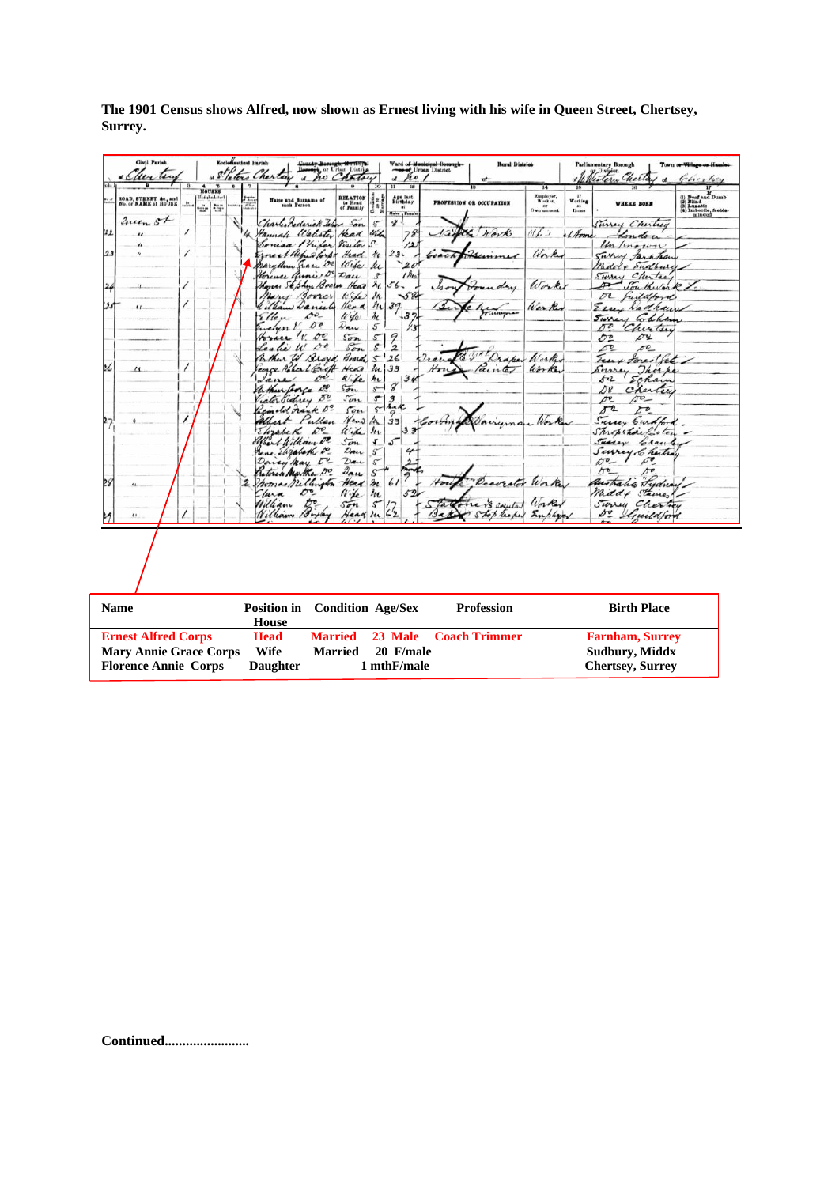|              | Civil Parish<br>fer ten                                                                    |          |                                          | <b>Eccleratical Parish</b> | leters Chertain                                        | of                                                           | wey or Urban District<br>no Chatou                   |                                                           | ho<br>$\alpha$                      | rd o <del>f Municipal Boro.</del><br><del>eo of</del> Urban District | <b>Hural District</b>                            |                                                    |                                                        | Parliamentary Borough<br>Western Cherla                                          | Town or Village or Hamlet<br>Cherley                                          |
|--------------|--------------------------------------------------------------------------------------------|----------|------------------------------------------|----------------------------|--------------------------------------------------------|--------------------------------------------------------------|------------------------------------------------------|-----------------------------------------------------------|-------------------------------------|----------------------------------------------------------------------|--------------------------------------------------|----------------------------------------------------|--------------------------------------------------------|----------------------------------------------------------------------------------|-------------------------------------------------------------------------------|
|              | <b>ROAD, STREET, &amp;c. and</b><br>No. or <b>NAME</b> of HOUSE                            | <b>A</b> | NOUSES<br>Uninhalited<br><b>Age</b><br>÷ |                            |                                                        | Name and Surname of<br>cash Person                           | RELATION<br>to Head<br>of Family                     |                                                           | Age last<br>Birthday<br>ui          |                                                                      | <b>PROFESSION OR OCCUPATION</b>                  | 14<br><b>Employer,<br/>Worker,<br/>Own account</b> | $\frac{1}{t}$<br>$\mathbf{r}_{\text{max}}^{\text{at}}$ | <b>WHERE BORN</b>                                                                | (i) Daaf and Dumb<br>(ii) Blind<br>(3) Lunatio<br>(4) Imbocile, feeble-minded |
| $^{122}$     | Zuen St                                                                                    |          |                                          |                            | Hannah Walister Head                                   | Charles Lederick Jahr Son<br>Coursa Philes Visitor           |                                                      | $\mathcal{E}$<br>with                                     | $\pmb{\mathscr{C}}$<br>78           |                                                                      | K North                                          | $00\sqrt{k}$                                       | +1 Home                                                | Surrey Chinteey<br>Un /ino                                                       |                                                                               |
| 23           |                                                                                            |          |                                          |                            |                                                        | themstords Head<br>nary ann grace 02<br>Horewer annie De Dan | loye                                                 | he<br><u>hi</u>                                           | 23.<br>120                          |                                                                      |                                                  | Worker                                             |                                                        | Surrey tarkton<br>Middly Sudburg                                                 |                                                                               |
|              | $\mu$                                                                                      | 7        |                                          |                            |                                                        | Kona: Sephin Boarn Head<br>Mary Goner                        | Wife                                                 | s<br>h<br>2n                                              | $1$ ho<br>$56 -$<br>-5%             |                                                                      | day                                              | Worker                                             |                                                        | chertre<br>Surrey<br>Southwark<br>oc<br>fuildford                                |                                                                               |
|              | $\iota$                                                                                    |          |                                          |                            | Ellen<br>velyn!                                        | William Dancely<br>$\mathcal{C}^o$<br>0 <sup>o</sup>         | Herd<br>10kg<br>$\mathcal{D}_{\mathbf{a}\mathbf{w}}$ | n<br>$\lambda_{\mathcal{C}}$<br>$\mathfrak{s}$            | 37<br>ĻЗ<br>$^{13}$                 |                                                                      |                                                  | Wer Ker                                            |                                                        | Essex Ladraw<br>Surrey Chan<br>pe<br>Cherten                                     |                                                                               |
| 26           | $\prime$                                                                                   | $\prime$ |                                          |                            | France W. D.<br>Leslie W<br>When W Broyd Board 5 26    | $\mathcal{O}^{\rho}$<br>conce Nobert Groft                   | 522<br>Son                                           | $\mathcal{S}^-$<br>$\mathcal{S}^-$                        | $\frac{2}{2}$                       |                                                                      | raper                                            | Worker<br>Worker                                   |                                                        | oυ<br>Ο2<br>$\sqrt{2}$<br>oc.<br>Eux forest fact                                 |                                                                               |
|              |                                                                                            |          |                                          |                            | Jane<br>When force De<br>cater Sidney Do               | oe.                                                          | Head<br>k fe<br>522<br>Son                           | $\frac{\hbar}{33}$<br>$\mathcal{H}_{\mathcal{L}}$<br>$s-$ | $8^{34}$                            | $H_{\boldsymbol{r} \boldsymbol{t}}$                                  | ainter                                           |                                                    |                                                        | Thorka<br>bi<br>Echam<br>δ¥<br>Chertie<br>$\sigma$<br>$\mathcal{D}^{\mathbf{v}}$ |                                                                               |
| $\mathbf{2}$ |                                                                                            |          |                                          |                            | Albert Pullen<br>Ehrabeth                              | Seinald Frank Do<br>$\mathcal{O}^{\nu}$                      | Son<br>Head<br>Wife h                                | $rac{5}{3}$<br>lu l                                       | $\frac{3}{4}$<br>33<br>3            |                                                                      |                                                  |                                                    |                                                        | $*$<br>or<br>Survey Cardford<br>Shropshare Coler -                               |                                                                               |
|              |                                                                                            |          |                                          |                            | When I William De<br>Rene Elizabeth De<br>Davey May 02 |                                                              | 5m<br>Dan<br>Dan                                     | $\sqrt{2}$<br>$\cal S'$<br>$\mathcal{S}^{\prime}$         | که                                  |                                                                      |                                                  |                                                    |                                                        | Sussex<br>Crace<br>Survey Charles<br>$\sigma$                                    |                                                                               |
| 22           |                                                                                            |          |                                          | 2                          | retoria Marka Do<br>Phones nillington<br>Clara         | రా                                                           | $\mathcal{D}_{\mathbf{a}\mathbf{u}}$<br>Head<br>Wife | $\mathcal{S}$<br>$\lambda_{\mathfrak{c}}$<br>$\ell$ u     | 61                                  |                                                                      | Decorator Work                                   |                                                    |                                                        | চ∙<br>australia tydney<br>Middy Staines                                          |                                                                               |
|              | $\bullet$                                                                                  |          |                                          |                            | William<br>William Bryay                               | $\mathcal{D}^{\mathbf{e}}$                                   | Son<br>Head In                                       |                                                           |                                     |                                                                      | Takene is anythed Worked<br>Shop leaper Employer |                                                    |                                                        | Survey Chartery<br>De Guildford                                                  |                                                                               |
|              |                                                                                            |          |                                          |                            |                                                        |                                                              |                                                      |                                                           |                                     |                                                                      |                                                  |                                                    |                                                        |                                                                                  |                                                                               |
|              | <b>Name</b>                                                                                |          |                                          |                            | <b>Position in</b><br><b>House</b>                     |                                                              |                                                      |                                                           | <b>Condition Age/Sex</b>            |                                                                      | <b>Profession</b>                                |                                                    |                                                        | <b>Birth Place</b>                                                               |                                                                               |
|              | <b>Ernest Alfred Corps</b><br><b>Mary Annie Grace Corps</b><br><b>Florence Annie Corps</b> |          |                                          |                            | <b>Head</b><br>Wife<br><b>Daughter</b>                 | <b>Married</b>                                               | <b>Married</b>                                       |                                                           | 23 Male<br>20 F/male<br>1 mthF/male |                                                                      | <b>Coach Trimmer</b>                             |                                                    |                                                        | <b>Farnham, Surrey</b><br><b>Sudbury, Middx</b><br><b>Chertsey, Surrey</b>       |                                                                               |

**The 1901 Census shows Alfred, now shown as Ernest living with his wife in Queen Street, Chertsey, Surrey.**

**Continued........................**